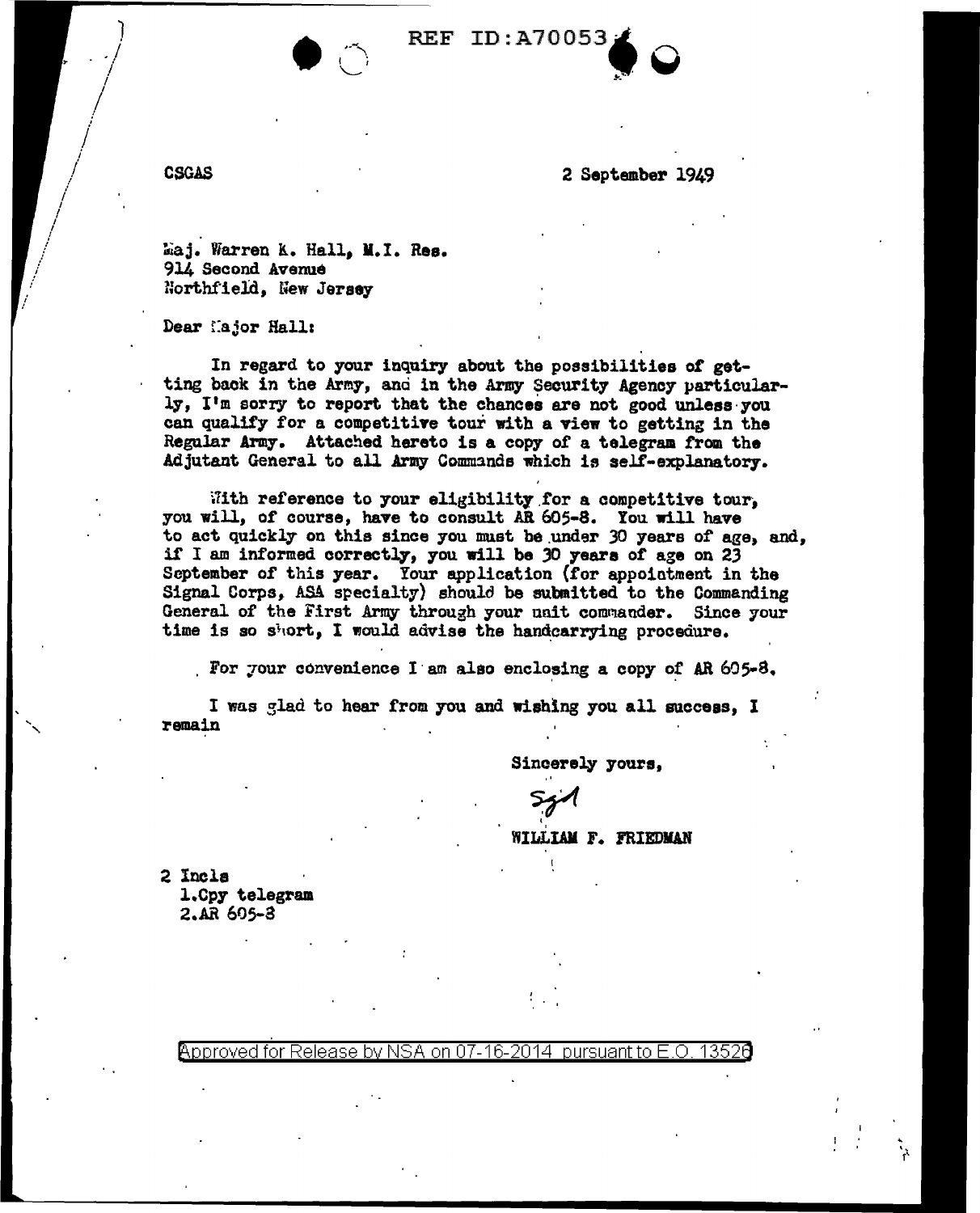2 September 1949

Maj. Warren K. Hall, M.I. Res. 914 Second Avenue

Northfield, New Jersey

Dear Major Hall:

In regard to your inquiry about the possibilities of getting back in the Army, and in the Army Security Agency particularly, I'm sorry to report that the chances are not good unless you can qualify for a competitive tour with a view to getting in the Regular Army. Attached hereto is a copy of a telegram from the Adjutant General to all Army Commands which is self-explanatory.

**REF ID:A70053** 

With reference to your eligibility for a competitive tour, you will, of course, have to consult AR 605-8. You will have to act quickly on this since you must be under 30 years of age, and, if I am informed correctly, you will be 30 years of age on 23 September of this year. Your application (for appointment in the Signal Corps, ASA specialty) should be submitted to the Commanding General of the First Army through your unit commander. Since your time is so short, I would advise the handcarrying procedure.

For your convenience I am also enclosing a copy of AR 605-8.

I was glad to hear from you and wishing you all success, I remain

Sincerely yours,

WILLIAM F. FRIEDMAN

2 Incls 1.Cpy telegram 2.AR 605-3

> Approved for Release by NSA on 07-16-2014 pursuant to E.O. 13526

**CSGAS**